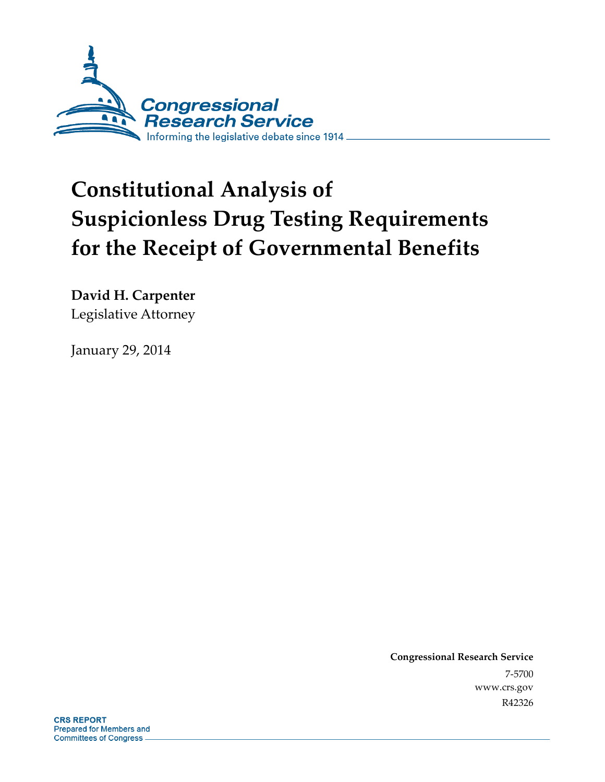

# **Constitutional Analysis of Suspicionless Drug Testing Requirements for the Receipt of Governmental Benefits**

**David H. Carpenter**  Legislative Attorney

January 29, 2014

**Congressional Research Service**  7-5700 www.crs.gov R42326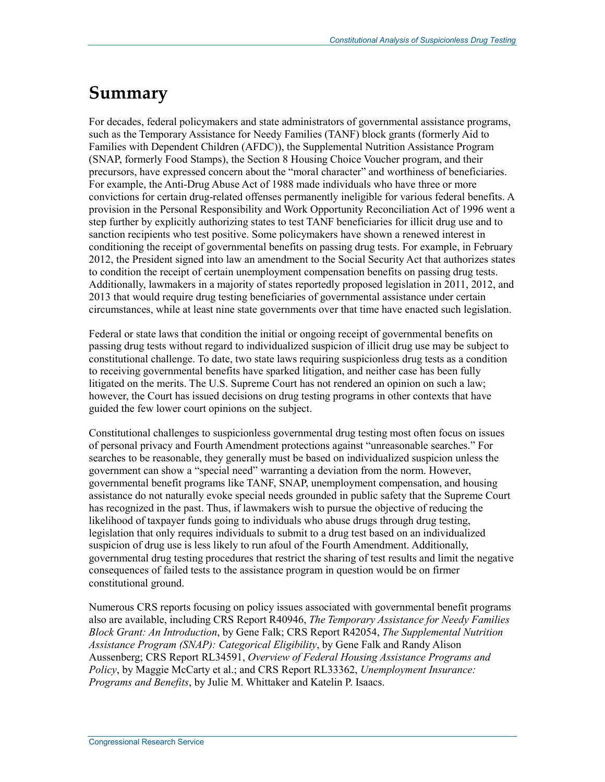## **Summary**

For decades, federal policymakers and state administrators of governmental assistance programs, such as the Temporary Assistance for Needy Families (TANF) block grants (formerly Aid to Families with Dependent Children (AFDC)), the Supplemental Nutrition Assistance Program (SNAP, formerly Food Stamps), the Section 8 Housing Choice Voucher program, and their precursors, have expressed concern about the "moral character" and worthiness of beneficiaries. For example, the Anti-Drug Abuse Act of 1988 made individuals who have three or more convictions for certain drug-related offenses permanently ineligible for various federal benefits. A provision in the Personal Responsibility and Work Opportunity Reconciliation Act of 1996 went a step further by explicitly authorizing states to test TANF beneficiaries for illicit drug use and to sanction recipients who test positive. Some policymakers have shown a renewed interest in conditioning the receipt of governmental benefits on passing drug tests. For example, in February 2012, the President signed into law an amendment to the Social Security Act that authorizes states to condition the receipt of certain unemployment compensation benefits on passing drug tests. Additionally, lawmakers in a majority of states reportedly proposed legislation in 2011, 2012, and 2013 that would require drug testing beneficiaries of governmental assistance under certain circumstances, while at least nine state governments over that time have enacted such legislation.

Federal or state laws that condition the initial or ongoing receipt of governmental benefits on passing drug tests without regard to individualized suspicion of illicit drug use may be subject to constitutional challenge. To date, two state laws requiring suspicionless drug tests as a condition to receiving governmental benefits have sparked litigation, and neither case has been fully litigated on the merits. The U.S. Supreme Court has not rendered an opinion on such a law; however, the Court has issued decisions on drug testing programs in other contexts that have guided the few lower court opinions on the subject.

Constitutional challenges to suspicionless governmental drug testing most often focus on issues of personal privacy and Fourth Amendment protections against "unreasonable searches." For searches to be reasonable, they generally must be based on individualized suspicion unless the government can show a "special need" warranting a deviation from the norm. However, governmental benefit programs like TANF, SNAP, unemployment compensation, and housing assistance do not naturally evoke special needs grounded in public safety that the Supreme Court has recognized in the past. Thus, if lawmakers wish to pursue the objective of reducing the likelihood of taxpayer funds going to individuals who abuse drugs through drug testing, legislation that only requires individuals to submit to a drug test based on an individualized suspicion of drug use is less likely to run afoul of the Fourth Amendment. Additionally, governmental drug testing procedures that restrict the sharing of test results and limit the negative consequences of failed tests to the assistance program in question would be on firmer constitutional ground.

Numerous CRS reports focusing on policy issues associated with governmental benefit programs also are available, including CRS Report R40946, *The Temporary Assistance for Needy Families Block Grant: An Introduction*, by Gene Falk; CRS Report R42054, *The Supplemental Nutrition Assistance Program (SNAP): Categorical Eligibility*, by Gene Falk and Randy Alison Aussenberg; CRS Report RL34591, *Overview of Federal Housing Assistance Programs and Policy*, by Maggie McCarty et al.; and CRS Report RL33362, *Unemployment Insurance: Programs and Benefits*, by Julie M. Whittaker and Katelin P. Isaacs.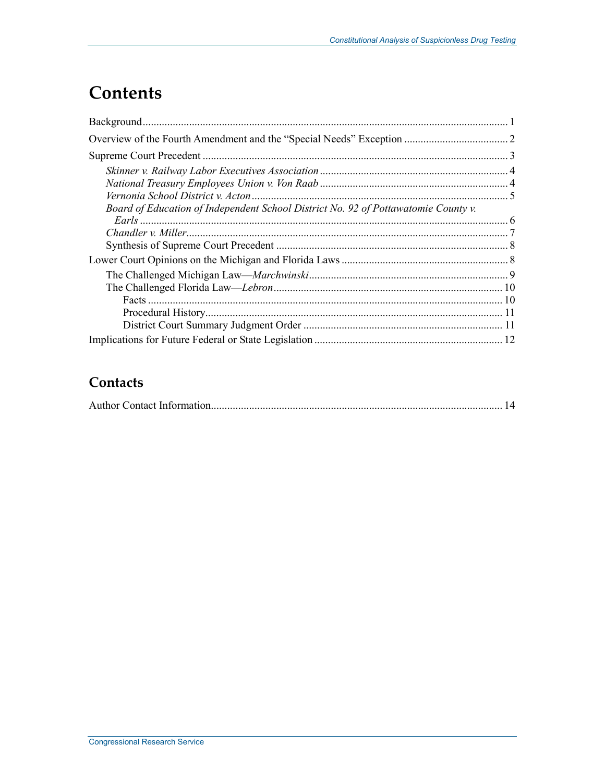## **Contents**

| Board of Education of Independent School District No. 92 of Pottawatomie County v. |  |
|------------------------------------------------------------------------------------|--|
|                                                                                    |  |
|                                                                                    |  |
|                                                                                    |  |
|                                                                                    |  |
|                                                                                    |  |
|                                                                                    |  |
|                                                                                    |  |
|                                                                                    |  |
|                                                                                    |  |

## Contacts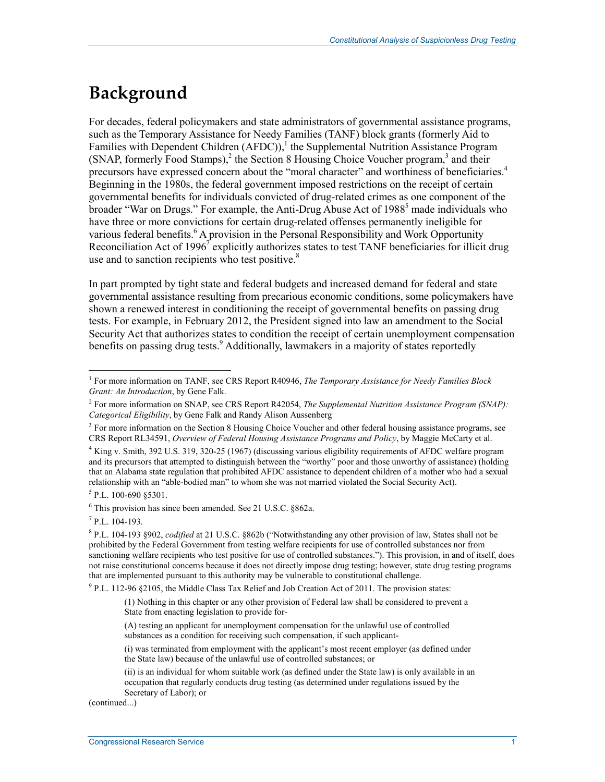## **Background**

For decades, federal policymakers and state administrators of governmental assistance programs, such as the Temporary Assistance for Needy Families (TANF) block grants (formerly Aid to Families with Dependent Children  $(AFDC)$ , the Supplemental Nutrition Assistance Program (SNAP, formerly Food Stamps),<sup>2</sup> the Section 8 Housing Choice Voucher program,<sup>3</sup> and their precursors have expressed concern about the "moral character" and worthiness of beneficiaries.4 Beginning in the 1980s, the federal government imposed restrictions on the receipt of certain governmental benefits for individuals convicted of drug-related crimes as one component of the broader "War on Drugs." For example, the Anti-Drug Abuse Act of 1988<sup>5</sup> made individuals who have three or more convictions for certain drug-related offenses permanently ineligible for various federal benefits.<sup>6</sup> A provision in the Personal Responsibility and Work Opportunity Reconciliation Act of 1996<sup>7</sup> explicitly authorizes states to test TANF beneficiaries for illicit drug use and to sanction recipients who test positive. $8$ 

In part prompted by tight state and federal budgets and increased demand for federal and state governmental assistance resulting from precarious economic conditions, some policymakers have shown a renewed interest in conditioning the receipt of governmental benefits on passing drug tests. For example, in February 2012, the President signed into law an amendment to the Social Security Act that authorizes states to condition the receipt of certain unemployment compensation benefits on passing drug tests.<sup>9</sup> Additionally, lawmakers in a majority of states reportedly

6 This provision has since been amended. See 21 U.S.C. §862a.

 $7$  P.L. 104-193.

1

<sup>9</sup> P.L. 112-96 §2105, the Middle Class Tax Relief and Job Creation Act of 2011. The provision states:

(1) Nothing in this chapter or any other provision of Federal law shall be considered to prevent a State from enacting legislation to provide for-

(A) testing an applicant for unemployment compensation for the unlawful use of controlled substances as a condition for receiving such compensation, if such applicant-

(i) was terminated from employment with the applicant's most recent employer (as defined under the State law) because of the unlawful use of controlled substances; or

(ii) is an individual for whom suitable work (as defined under the State law) is only available in an occupation that regularly conducts drug testing (as determined under regulations issued by the Secretary of Labor); or

(continued...)

<sup>&</sup>lt;sup>1</sup> For more information on TANF, see CRS Report R40946, *The Temporary Assistance for Needy Families Block Grant: An Introduction*, by Gene Falk.

<sup>2</sup> For more information on SNAP, see CRS Report R42054, *The Supplemental Nutrition Assistance Program (SNAP): Categorical Eligibility*, by Gene Falk and Randy Alison Aussenberg

<sup>&</sup>lt;sup>3</sup> For more information on the Section 8 Housing Choice Voucher and other federal housing assistance programs, see CRS Report RL34591, *Overview of Federal Housing Assistance Programs and Policy*, by Maggie McCarty et al.

<sup>4</sup> King v. Smith, 392 U.S. 319, 320-25 (1967) (discussing various eligibility requirements of AFDC welfare program and its precursors that attempted to distinguish between the "worthy" poor and those unworthy of assistance) (holding that an Alabama state regulation that prohibited AFDC assistance to dependent children of a mother who had a sexual relationship with an "able-bodied man" to whom she was not married violated the Social Security Act).

<sup>&</sup>lt;sup>5</sup> P.L. 100-690 §5301.

<sup>8</sup> P.L. 104-193 §902, *codified* at 21 U.S.C. §862b ("Notwithstanding any other provision of law, States shall not be prohibited by the Federal Government from testing welfare recipients for use of controlled substances nor from sanctioning welfare recipients who test positive for use of controlled substances."). This provision, in and of itself, does not raise constitutional concerns because it does not directly impose drug testing; however, state drug testing programs that are implemented pursuant to this authority may be vulnerable to constitutional challenge.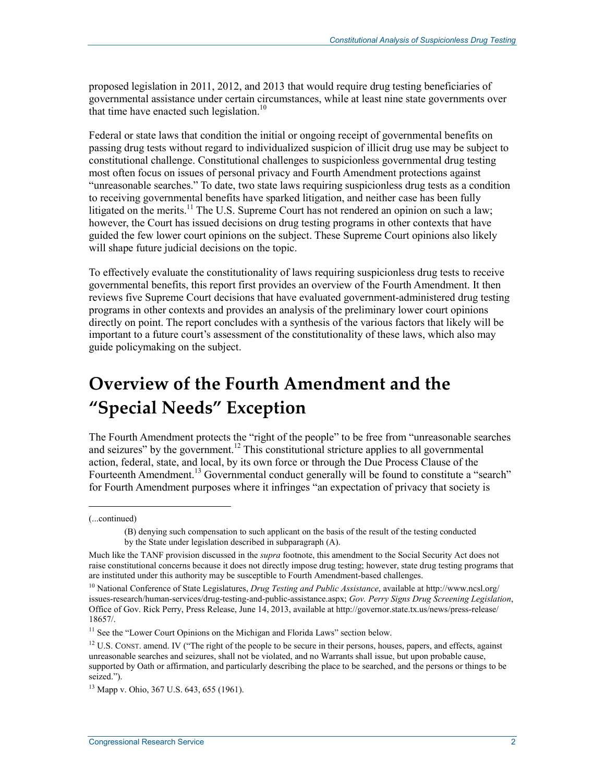proposed legislation in 2011, 2012, and 2013 that would require drug testing beneficiaries of governmental assistance under certain circumstances, while at least nine state governments over that time have enacted such legislation.<sup>10</sup>

Federal or state laws that condition the initial or ongoing receipt of governmental benefits on passing drug tests without regard to individualized suspicion of illicit drug use may be subject to constitutional challenge. Constitutional challenges to suspicionless governmental drug testing most often focus on issues of personal privacy and Fourth Amendment protections against "unreasonable searches." To date, two state laws requiring suspicionless drug tests as a condition to receiving governmental benefits have sparked litigation, and neither case has been fully litigated on the merits.<sup>11</sup> The U.S. Supreme Court has not rendered an opinion on such a law; however, the Court has issued decisions on drug testing programs in other contexts that have guided the few lower court opinions on the subject. These Supreme Court opinions also likely will shape future judicial decisions on the topic.

To effectively evaluate the constitutionality of laws requiring suspicionless drug tests to receive governmental benefits, this report first provides an overview of the Fourth Amendment. It then reviews five Supreme Court decisions that have evaluated government-administered drug testing programs in other contexts and provides an analysis of the preliminary lower court opinions directly on point. The report concludes with a synthesis of the various factors that likely will be important to a future court's assessment of the constitutionality of these laws, which also may guide policymaking on the subject.

## **Overview of the Fourth Amendment and the "Special Needs" Exception**

The Fourth Amendment protects the "right of the people" to be free from "unreasonable searches and seizures" by the government.<sup>12</sup> This constitutional stricture applies to all governmental action, federal, state, and local, by its own force or through the Due Process Clause of the Fourteenth Amendment.<sup>13</sup> Governmental conduct generally will be found to constitute a "search" for Fourth Amendment purposes where it infringes "an expectation of privacy that society is

 $\overline{a}$ 

<sup>(...</sup>continued)

<sup>(</sup>B) denying such compensation to such applicant on the basis of the result of the testing conducted by the State under legislation described in subparagraph (A).

Much like the TANF provision discussed in the *supra* footnote, this amendment to the Social Security Act does not raise constitutional concerns because it does not directly impose drug testing; however, state drug testing programs that are instituted under this authority may be susceptible to Fourth Amendment-based challenges.

<sup>10</sup> National Conference of State Legislatures, *Drug Testing and Public Assistance*, available at http://www.ncsl.org/ issues-research/human-services/drug-testing-and-public-assistance.aspx; *Gov. Perry Signs Drug Screening Legislation*, Office of Gov. Rick Perry, Press Release, June 14, 2013, available at http://governor.state.tx.us/news/press-release/ 18657/.

<sup>&</sup>lt;sup>11</sup> See the "Lower Court Opinions on the Michigan and Florida Laws" section below.

<sup>&</sup>lt;sup>12</sup> U.S. CONST. amend. IV ("The right of the people to be secure in their persons, houses, papers, and effects, against unreasonable searches and seizures, shall not be violated, and no Warrants shall issue, but upon probable cause, supported by Oath or affirmation, and particularly describing the place to be searched, and the persons or things to be seized.").

<sup>13</sup> Mapp v. Ohio, 367 U.S. 643, 655 (1961).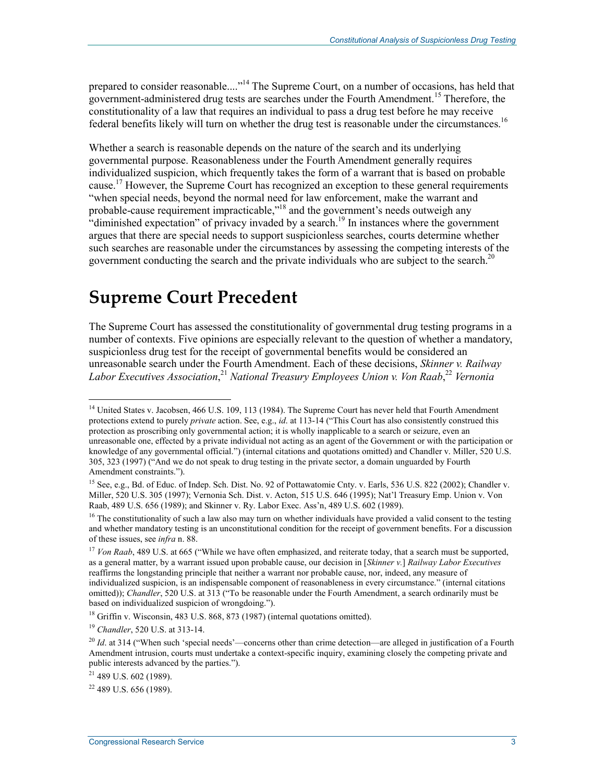prepared to consider reasonable...."<sup>14</sup> The Supreme Court, on a number of occasions, has held that government-administered drug tests are searches under the Fourth Amendment.<sup>15</sup> Therefore, the constitutionality of a law that requires an individual to pass a drug test before he may receive federal benefits likely will turn on whether the drug test is reasonable under the circumstances.<sup>16</sup>

Whether a search is reasonable depends on the nature of the search and its underlying governmental purpose. Reasonableness under the Fourth Amendment generally requires individualized suspicion, which frequently takes the form of a warrant that is based on probable cause.17 However, the Supreme Court has recognized an exception to these general requirements "when special needs, beyond the normal need for law enforcement, make the warrant and probable-cause requirement impracticable,"18 and the government's needs outweigh any "diminished expectation" of privacy invaded by a search.<sup>19</sup> In instances where the government argues that there are special needs to support suspicionless searches, courts determine whether such searches are reasonable under the circumstances by assessing the competing interests of the government conducting the search and the private individuals who are subject to the search.<sup>20</sup>

## **Supreme Court Precedent**

The Supreme Court has assessed the constitutionality of governmental drug testing programs in a number of contexts. Five opinions are especially relevant to the question of whether a mandatory, suspicionless drug test for the receipt of governmental benefits would be considered an unreasonable search under the Fourth Amendment. Each of these decisions, *Skinner v. Railway Labor Executives Association*, <sup>21</sup> *National Treasury Employees Union v. Von Raab*, <sup>22</sup> *Vernonia* 

 $18$  Griffin v. Wisconsin, 483 U.S. 868, 873 (1987) (internal quotations omitted).

<sup>&</sup>lt;sup>14</sup> United States v. Jacobsen, 466 U.S. 109, 113 (1984). The Supreme Court has never held that Fourth Amendment protections extend to purely *private* action. See, e.g., *id*. at 113-14 ("This Court has also consistently construed this protection as proscribing only governmental action; it is wholly inapplicable to a search or seizure, even an unreasonable one, effected by a private individual not acting as an agent of the Government or with the participation or knowledge of any governmental official.") (internal citations and quotations omitted) and Chandler v. Miller, 520 U.S. 305, 323 (1997) ("And we do not speak to drug testing in the private sector, a domain unguarded by Fourth Amendment constraints.").

<sup>15</sup> See, e.g., Bd. of Educ. of Indep. Sch. Dist. No. 92 of Pottawatomie Cnty. v. Earls, 536 U.S. 822 (2002); Chandler v. Miller, 520 U.S. 305 (1997); Vernonia Sch. Dist. v. Acton, 515 U.S. 646 (1995); Nat'l Treasury Emp. Union v. Von Raab, 489 U.S. 656 (1989); and Skinner v. Ry. Labor Exec. Ass'n, 489 U.S. 602 (1989).

 $16$  The constitutionality of such a law also may turn on whether individuals have provided a valid consent to the testing and whether mandatory testing is an unconstitutional condition for the receipt of government benefits. For a discussion of these issues, see *infra* n. 88.

<sup>&</sup>lt;sup>17</sup> *Von Raab*, 489 U.S. at 665 ("While we have often emphasized, and reiterate today, that a search must be supported, as a general matter, by a warrant issued upon probable cause, our decision in [*Skinner v.*] *Railway Labor Executives* reaffirms the longstanding principle that neither a warrant nor probable cause, nor, indeed, any measure of individualized suspicion, is an indispensable component of reasonableness in every circumstance." (internal citations omitted)); *Chandler*, 520 U.S. at 313 ("To be reasonable under the Fourth Amendment, a search ordinarily must be based on individualized suspicion of wrongdoing.").

<sup>19</sup> *Chandler*, 520 U.S. at 313-14.

<sup>&</sup>lt;sup>20</sup> *Id.* at 314 ("When such 'special needs'—concerns other than crime detection—are alleged in justification of a Fourth Amendment intrusion, courts must undertake a context-specific inquiry, examining closely the competing private and public interests advanced by the parties.").

 $21$  489 U.S. 602 (1989).

 $22$  489 U.S. 656 (1989).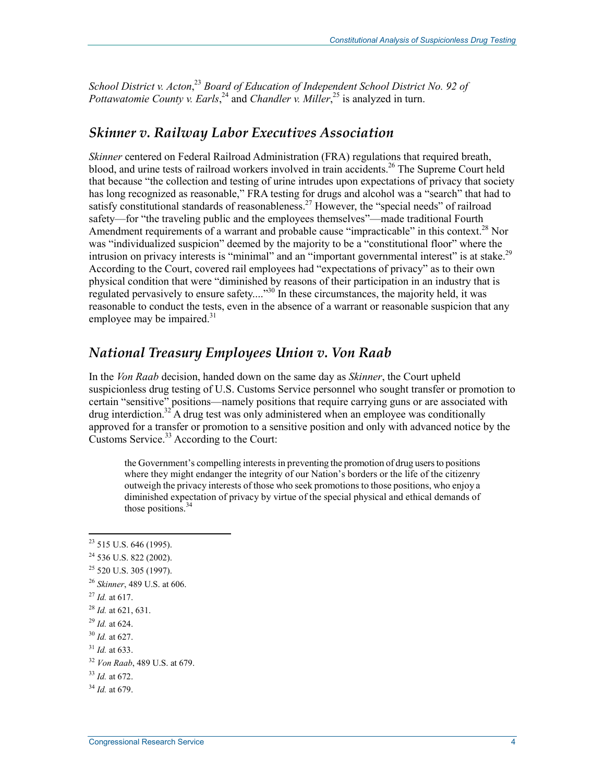*School District v. Acton*, <sup>23</sup> *Board of Education of Independent School District No. 92 of*  Pottawatomie County v. Earls,<sup>24</sup> and Chandler v. Miller,<sup>25</sup> is analyzed in turn.

### *Skinner v. Railway Labor Executives Association*

*Skinner* centered on Federal Railroad Administration (FRA) regulations that required breath, blood, and urine tests of railroad workers involved in train accidents.<sup>26</sup> The Supreme Court held that because "the collection and testing of urine intrudes upon expectations of privacy that society has long recognized as reasonable," FRA testing for drugs and alcohol was a "search" that had to satisfy constitutional standards of reasonableness.<sup>27</sup> However, the "special needs" of railroad safety—for "the traveling public and the employees themselves"—made traditional Fourth Amendment requirements of a warrant and probable cause "impracticable" in this context.<sup>28</sup> Nor was "individualized suspicion" deemed by the majority to be a "constitutional floor" where the intrusion on privacy interests is "minimal" and an "important governmental interest" is at stake.<sup>29</sup> According to the Court, covered rail employees had "expectations of privacy" as to their own physical condition that were "diminished by reasons of their participation in an industry that is regulated pervasively to ensure safety...."<sup>30</sup> In these circumstances, the majority held, it was reasonable to conduct the tests, even in the absence of a warrant or reasonable suspicion that any employee may be impaired. $31$ 

#### *National Treasury Employees Union v. Von Raab*

In the *Von Raab* decision, handed down on the same day as *Skinner*, the Court upheld suspicionless drug testing of U.S. Customs Service personnel who sought transfer or promotion to certain "sensitive" positions—namely positions that require carrying guns or are associated with  $d$ rug interdiction.<sup>32</sup> A drug test was only administered when an employee was conditionally approved for a transfer or promotion to a sensitive position and only with advanced notice by the Customs Service.<sup>33</sup> According to the Court:

the Government's compelling interests in preventing the promotion of drug users to positions where they might endanger the integrity of our Nation's borders or the life of the citizenry outweigh the privacy interests of those who seek promotions to those positions, who enjoy a diminished expectation of privacy by virtue of the special physical and ethical demands of those positions.<sup>34</sup>

<sup>27</sup> *Id.* at 617.

- <sup>29</sup> *Id.* at 624.
- <sup>30</sup> *Id.* at 627.
- $31$  *Id.* at 633.

 $23$  515 U.S. 646 (1995).

 $^{24}$  536 U.S. 822 (2002).

<sup>&</sup>lt;sup>25</sup> 520 U.S. 305 (1997).

<sup>26</sup> *Skinner*, 489 U.S. at 606.

<sup>28</sup> *Id.* at 621, 631.

<sup>32</sup> *Von Raab*, 489 U.S. at 679.

<sup>33</sup> *Id.* at 672.

<sup>34</sup> *Id.* at 679.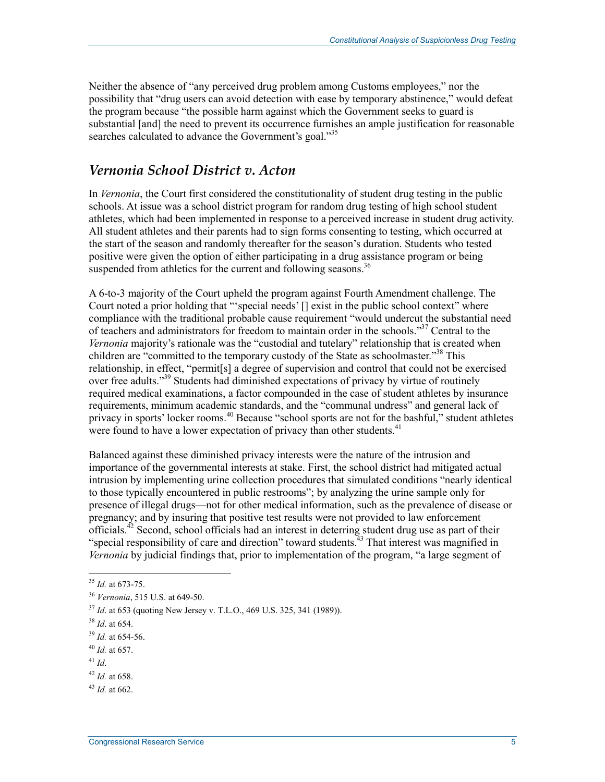Neither the absence of "any perceived drug problem among Customs employees," nor the possibility that "drug users can avoid detection with ease by temporary abstinence," would defeat the program because "the possible harm against which the Government seeks to guard is substantial [and] the need to prevent its occurrence furnishes an ample justification for reasonable searches calculated to advance the Government's goal."<sup>35</sup>

#### *Vernonia School District v. Acton*

In *Vernonia*, the Court first considered the constitutionality of student drug testing in the public schools. At issue was a school district program for random drug testing of high school student athletes, which had been implemented in response to a perceived increase in student drug activity. All student athletes and their parents had to sign forms consenting to testing, which occurred at the start of the season and randomly thereafter for the season's duration. Students who tested positive were given the option of either participating in a drug assistance program or being suspended from athletics for the current and following seasons.<sup>36</sup>

A 6-to-3 majority of the Court upheld the program against Fourth Amendment challenge. The Court noted a prior holding that "'special needs' [] exist in the public school context" where compliance with the traditional probable cause requirement "would undercut the substantial need of teachers and administrators for freedom to maintain order in the schools."<sup>37</sup> Central to the *Vernonia* majority's rationale was the "custodial and tutelary" relationship that is created when children are "committed to the temporary custody of the State as schoolmaster."<sup>38</sup> This relationship, in effect, "permit[s] a degree of supervision and control that could not be exercised over free adults."<sup>39</sup> Students had diminished expectations of privacy by virtue of routinely required medical examinations, a factor compounded in the case of student athletes by insurance requirements, minimum academic standards, and the "communal undress" and general lack of privacy in sports' locker rooms.<sup>40</sup> Because "school sports are not for the bashful," student athletes were found to have a lower expectation of privacy than other students.<sup>41</sup>

Balanced against these diminished privacy interests were the nature of the intrusion and importance of the governmental interests at stake. First, the school district had mitigated actual intrusion by implementing urine collection procedures that simulated conditions "nearly identical to those typically encountered in public restrooms"; by analyzing the urine sample only for presence of illegal drugs—not for other medical information, such as the prevalence of disease or pregnancy; and by insuring that positive test results were not provided to law enforcement officials.<sup>42</sup> Second, school officials had an interest in deterring student drug use as part of their "special responsibility of care and direction" toward students.<sup>43</sup> That interest was magnified in *Vernonia* by judicial findings that, prior to implementation of the program, "a large segment of

<sup>1</sup> <sup>35</sup> *Id.* at 673-75.

<sup>36</sup> *Vernonia*, 515 U.S. at 649-50.

<sup>37</sup> *Id*. at 653 (quoting New Jersey v. T.L.O., 469 U.S. 325, 341 (1989)).

<sup>38</sup> *Id*. at 654.

<sup>39</sup> *Id.* at 654-56.

<sup>40</sup> *Id.* at 657.

<sup>41</sup> *Id*.

<sup>42</sup> *Id.* at 658.

 $^{43}$  *Id.* at 662.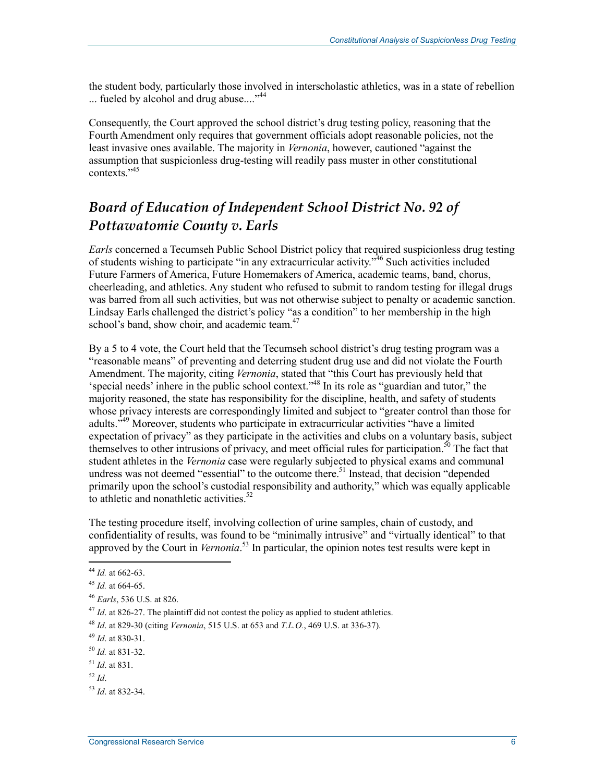the student body, particularly those involved in interscholastic athletics, was in a state of rebellion ... fueled by alcohol and drug abuse...."<sup>44</sup>

Consequently, the Court approved the school district's drug testing policy, reasoning that the Fourth Amendment only requires that government officials adopt reasonable policies, not the least invasive ones available. The majority in *Vernonia*, however, cautioned "against the assumption that suspicionless drug-testing will readily pass muster in other constitutional contexts<sup>",45</sup>

## *Board of Education of Independent School District No. 92 of Pottawatomie County v. Earls*

*Earls* concerned a Tecumseh Public School District policy that required suspicionless drug testing of students wishing to participate "in any extracurricular activity."<sup>46</sup> Such activities included Future Farmers of America, Future Homemakers of America, academic teams, band, chorus, cheerleading, and athletics. Any student who refused to submit to random testing for illegal drugs was barred from all such activities, but was not otherwise subject to penalty or academic sanction. Lindsay Earls challenged the district's policy "as a condition" to her membership in the high school's band, show choir, and academic team. $47$ 

By a 5 to 4 vote, the Court held that the Tecumseh school district's drug testing program was a "reasonable means" of preventing and deterring student drug use and did not violate the Fourth Amendment. The majority, citing *Vernonia*, stated that "this Court has previously held that 'special needs' inhere in the public school context."48 In its role as "guardian and tutor," the majority reasoned, the state has responsibility for the discipline, health, and safety of students whose privacy interests are correspondingly limited and subject to "greater control than those for adults.<sup>549</sup> Moreover, students who participate in extracurricular activities "have a limited expectation of privacy" as they participate in the activities and clubs on a voluntary basis, subject themselves to other intrusions of privacy, and meet official rules for participation.<sup>50</sup> The fact that student athletes in the *Vernonia* case were regularly subjected to physical exams and communal undress was not deemed "essential" to the outcome there.<sup>51</sup> Instead, that decision "depended primarily upon the school's custodial responsibility and authority," which was equally applicable to athletic and nonathletic activities. $52$ 

The testing procedure itself, involving collection of urine samples, chain of custody, and confidentiality of results, was found to be "minimally intrusive" and "virtually identical" to that approved by the Court in *Vernonia*. 53 In particular, the opinion notes test results were kept in

<sup>44</sup> *Id.* at 662-63.

<sup>45</sup> *Id.* at 664-65.

<sup>46</sup> *Earls*, 536 U.S. at 826.

<sup>&</sup>lt;sup>47</sup> *Id.* at 826-27. The plaintiff did not contest the policy as applied to student athletics.

<sup>48</sup> *Id*. at 829-30 (citing *Vernonia*, 515 U.S. at 653 and *T.L.O.*, 469 U.S. at 336-37).

<sup>49</sup> *Id*. at 830-31.

<sup>50</sup> *Id.* at 831-32.

<sup>51</sup> *Id*. at 831.

<sup>52</sup> *Id*.

<sup>53</sup> *Id*. at 832-34.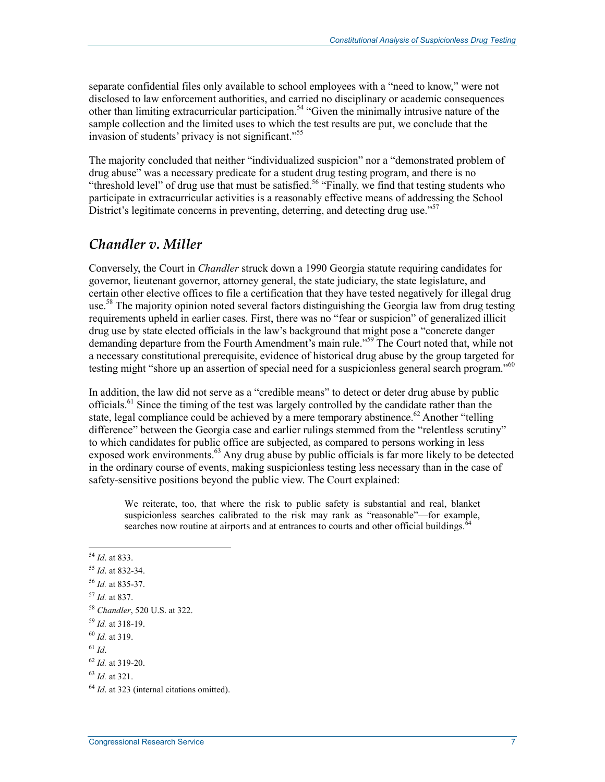separate confidential files only available to school employees with a "need to know," were not disclosed to law enforcement authorities, and carried no disciplinary or academic consequences other than limiting extracurricular participation.54 "Given the minimally intrusive nature of the sample collection and the limited uses to which the test results are put, we conclude that the invasion of students' privacy is not significant."<sup>55</sup>

The majority concluded that neither "individualized suspicion" nor a "demonstrated problem of drug abuse" was a necessary predicate for a student drug testing program, and there is no "threshold level" of drug use that must be satisfied.<sup>56</sup> "Finally, we find that testing students who participate in extracurricular activities is a reasonably effective means of addressing the School District's legitimate concerns in preventing, deterring, and detecting drug use."<sup>57</sup>

#### *Chandler v. Miller*

Conversely, the Court in *Chandler* struck down a 1990 Georgia statute requiring candidates for governor, lieutenant governor, attorney general, the state judiciary, the state legislature, and certain other elective offices to file a certification that they have tested negatively for illegal drug use.<sup>58</sup> The majority opinion noted several factors distinguishing the Georgia law from drug testing requirements upheld in earlier cases. First, there was no "fear or suspicion" of generalized illicit drug use by state elected officials in the law's background that might pose a "concrete danger demanding departure from the Fourth Amendment's main rule."<sup>59</sup> The Court noted that, while not a necessary constitutional prerequisite, evidence of historical drug abuse by the group targeted for testing might "shore up an assertion of special need for a suspicionless general search program."<sup>60</sup>

In addition, the law did not serve as a "credible means" to detect or deter drug abuse by public officials.<sup>61</sup> Since the timing of the test was largely controlled by the candidate rather than the state, legal compliance could be achieved by a mere temporary abstinence.<sup>62</sup> Another "telling difference" between the Georgia case and earlier rulings stemmed from the "relentless scrutiny" to which candidates for public office are subjected, as compared to persons working in less exposed work environments.<sup>63</sup> Any drug abuse by public officials is far more likely to be detected in the ordinary course of events, making suspicionless testing less necessary than in the case of safety-sensitive positions beyond the public view. The Court explained:

We reiterate, too, that where the risk to public safety is substantial and real, blanket suspicionless searches calibrated to the risk may rank as "reasonable"—for example, searches now routine at airports and at entrances to courts and other official buildings. $6\overline{6}$ 

<u>.</u>

<sup>54</sup> *Id*. at 833.

<sup>55</sup> *Id*. at 832-34.

<sup>56</sup> *Id.* at 835-37.

<sup>57</sup> *Id.* at 837.

<sup>58</sup> *Chandler*, 520 U.S. at 322.

<sup>59</sup> *Id.* at 318-19.

<sup>60</sup> *Id.* at 319.

 $^{61}$  *Id*.

<sup>62</sup> *Id.* at 319-20.

<sup>63</sup> *Id.* at 321.

<sup>&</sup>lt;sup>64</sup> *Id.* at 323 (internal citations omitted).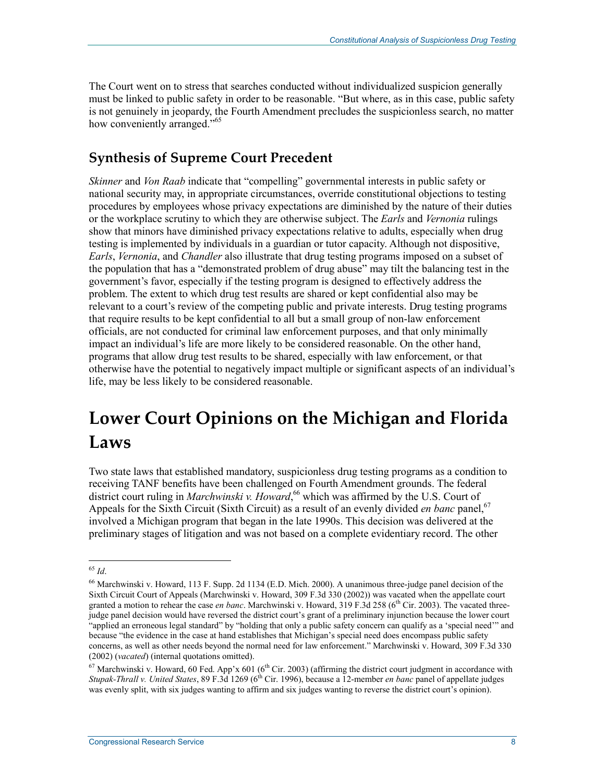The Court went on to stress that searches conducted without individualized suspicion generally must be linked to public safety in order to be reasonable. "But where, as in this case, public safety is not genuinely in jeopardy, the Fourth Amendment precludes the suspicionless search, no matter how conveniently arranged."<sup>65</sup>

### **Synthesis of Supreme Court Precedent**

*Skinner* and *Von Raab* indicate that "compelling" governmental interests in public safety or national security may, in appropriate circumstances, override constitutional objections to testing procedures by employees whose privacy expectations are diminished by the nature of their duties or the workplace scrutiny to which they are otherwise subject. The *Earls* and *Vernonia* rulings show that minors have diminished privacy expectations relative to adults, especially when drug testing is implemented by individuals in a guardian or tutor capacity. Although not dispositive, *Earls*, *Vernonia*, and *Chandler* also illustrate that drug testing programs imposed on a subset of the population that has a "demonstrated problem of drug abuse" may tilt the balancing test in the government's favor, especially if the testing program is designed to effectively address the problem. The extent to which drug test results are shared or kept confidential also may be relevant to a court's review of the competing public and private interests. Drug testing programs that require results to be kept confidential to all but a small group of non-law enforcement officials, are not conducted for criminal law enforcement purposes, and that only minimally impact an individual's life are more likely to be considered reasonable. On the other hand, programs that allow drug test results to be shared, especially with law enforcement, or that otherwise have the potential to negatively impact multiple or significant aspects of an individual's life, may be less likely to be considered reasonable.

## **Lower Court Opinions on the Michigan and Florida Laws**

Two state laws that established mandatory, suspicionless drug testing programs as a condition to receiving TANF benefits have been challenged on Fourth Amendment grounds. The federal district court ruling in *Marchwinski v. Howard*,<sup>66</sup> which was affirmed by the U.S. Court of Appeals for the Sixth Circuit (Sixth Circuit) as a result of an evenly divided *en banc* panel,<sup>67</sup> involved a Michigan program that began in the late 1990s. This decision was delivered at the preliminary stages of litigation and was not based on a complete evidentiary record. The other

<sup>1</sup> <sup>65</sup> *Id*.

<sup>66</sup> Marchwinski v. Howard, 113 F. Supp. 2d 1134 (E.D. Mich. 2000). A unanimous three-judge panel decision of the Sixth Circuit Court of Appeals (Marchwinski v. Howard, 309 F.3d 330 (2002)) was vacated when the appellate court granted a motion to rehear the case *en banc*. Marchwinski v. Howard, 319 F.3d 258 ( $6<sup>th</sup>$  Cir. 2003). The vacated threejudge panel decision would have reversed the district court's grant of a preliminary injunction because the lower court "applied an erroneous legal standard" by "holding that only a public safety concern can qualify as a 'special need'" and because "the evidence in the case at hand establishes that Michigan's special need does encompass public safety concerns, as well as other needs beyond the normal need for law enforcement." Marchwinski v. Howard, 309 F.3d 330 (2002) (*vacated*) (internal quotations omitted).

 $67$  Marchwinski v. Howard, 60 Fed. App'x 601 ( $6<sup>th</sup>$  Cir. 2003) (affirming the district court judgment in accordance with *Stupak-Thrall v. United States*, 89 F.3d 1269 (6th Cir. 1996), because a 12-member *en banc* panel of appellate judges was evenly split, with six judges wanting to affirm and six judges wanting to reverse the district court's opinion).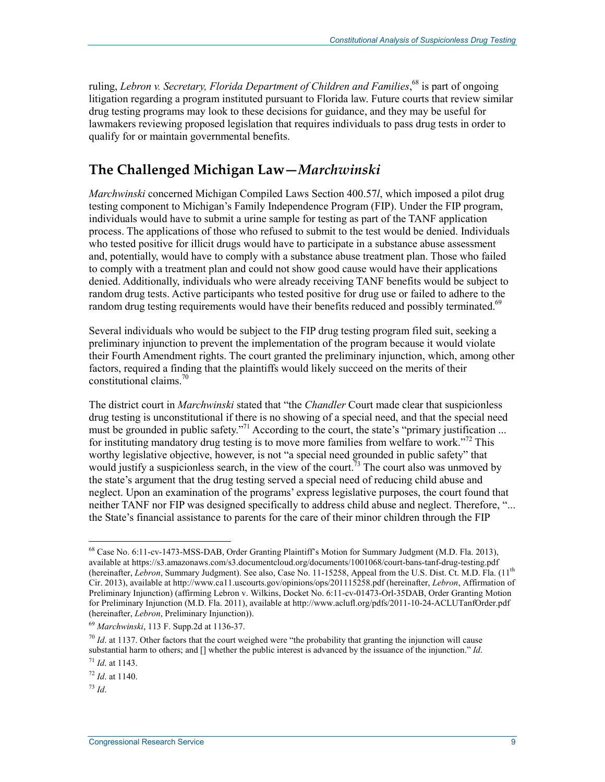ruling, Lebron v. Secretary, Florida Department of Children and Families,<sup>68</sup> is part of ongoing litigation regarding a program instituted pursuant to Florida law. Future courts that review similar drug testing programs may look to these decisions for guidance, and they may be useful for lawmakers reviewing proposed legislation that requires individuals to pass drug tests in order to qualify for or maintain governmental benefits.

### **The Challenged Michigan Law—***Marchwinski*

*Marchwinski* concerned Michigan Compiled Laws Section 400.57*l*, which imposed a pilot drug testing component to Michigan's Family Independence Program (FIP). Under the FIP program, individuals would have to submit a urine sample for testing as part of the TANF application process. The applications of those who refused to submit to the test would be denied. Individuals who tested positive for illicit drugs would have to participate in a substance abuse assessment and, potentially, would have to comply with a substance abuse treatment plan. Those who failed to comply with a treatment plan and could not show good cause would have their applications denied. Additionally, individuals who were already receiving TANF benefits would be subject to random drug tests. Active participants who tested positive for drug use or failed to adhere to the random drug testing requirements would have their benefits reduced and possibly terminated.<sup>69</sup>

Several individuals who would be subject to the FIP drug testing program filed suit, seeking a preliminary injunction to prevent the implementation of the program because it would violate their Fourth Amendment rights. The court granted the preliminary injunction, which, among other factors, required a finding that the plaintiffs would likely succeed on the merits of their constitutional claims.<sup>70</sup>

The district court in *Marchwinski* stated that "the *Chandler* Court made clear that suspicionless drug testing is unconstitutional if there is no showing of a special need, and that the special need must be grounded in public safety."<sup>71</sup> According to the court, the state's "primary justification ... for instituting mandatory drug testing is to move more families from welfare to work."<sup>72</sup> This worthy legislative objective, however, is not "a special need grounded in public safety" that would justify a suspicionless search, in the view of the court.<sup>73</sup> The court also was unmoved by the state's argument that the drug testing served a special need of reducing child abuse and neglect. Upon an examination of the programs' express legislative purposes, the court found that neither TANF nor FIP was designed specifically to address child abuse and neglect. Therefore, "... the State's financial assistance to parents for the care of their minor children through the FIP

<u>.</u>

<sup>68</sup> Case No. 6:11-cv-1473-MSS-DAB, Order Granting Plaintiff's Motion for Summary Judgment (M.D. Fla. 2013), available at https://s3.amazonaws.com/s3.documentcloud.org/documents/1001068/court-bans-tanf-drug-testing.pdf (hereinafter, *Lebron*, Summary Judgment). See also, Case No. 11-15258, Appeal from the U.S. Dist. Ct. M.D. Fla. (11th Cir. 2013), available at http://www.ca11.uscourts.gov/opinions/ops/201115258.pdf (hereinafter, *Lebron*, Affirmation of Preliminary Injunction) (affirming Lebron v. Wilkins, Docket No. 6:11-cv-01473-Orl-35DAB, Order Granting Motion for Preliminary Injunction (M.D. Fla. 2011), available at http://www.aclufl.org/pdfs/2011-10-24-ACLUTanfOrder.pdf (hereinafter, *Lebron*, Preliminary Injunction)).

<sup>69</sup> *Marchwinski*, 113 F. Supp.2d at 1136-37.

 $^{70}$  *Id.* at 1137. Other factors that the court weighed were "the probability that granting the injunction will cause substantial harm to others; and [] whether the public interest is advanced by the issuance of the injunction." *Id*.

<sup>71</sup> *Id*. at 1143.

<sup>72</sup> *Id*. at 1140.

<sup>73</sup> *Id*.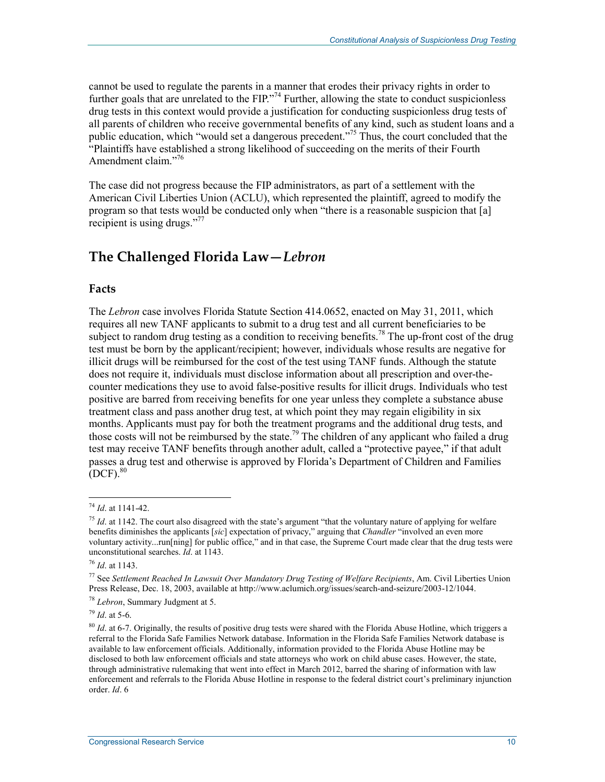cannot be used to regulate the parents in a manner that erodes their privacy rights in order to further goals that are unrelated to the FIP."<sup>74</sup> Further, allowing the state to conduct suspicionless drug tests in this context would provide a justification for conducting suspicionless drug tests of all parents of children who receive governmental benefits of any kind, such as student loans and a public education, which "would set a dangerous precedent."75 Thus, the court concluded that the "Plaintiffs have established a strong likelihood of succeeding on the merits of their Fourth Amendment claim."<sup>76</sup>

The case did not progress because the FIP administrators, as part of a settlement with the American Civil Liberties Union (ACLU), which represented the plaintiff, agreed to modify the program so that tests would be conducted only when "there is a reasonable suspicion that [a] recipient is using drugs."<sup>77</sup>

### **The Challenged Florida Law—***Lebron*

#### **Facts**

The *Lebron* case involves Florida Statute Section 414.0652, enacted on May 31, 2011, which requires all new TANF applicants to submit to a drug test and all current beneficiaries to be subject to random drug testing as a condition to receiving benefits.<sup>78</sup> The up-front cost of the drug test must be born by the applicant/recipient; however, individuals whose results are negative for illicit drugs will be reimbursed for the cost of the test using TANF funds. Although the statute does not require it, individuals must disclose information about all prescription and over-thecounter medications they use to avoid false-positive results for illicit drugs. Individuals who test positive are barred from receiving benefits for one year unless they complete a substance abuse treatment class and pass another drug test, at which point they may regain eligibility in six months. Applicants must pay for both the treatment programs and the additional drug tests, and those costs will not be reimbursed by the state.<sup>79</sup> The children of any applicant who failed a drug test may receive TANF benefits through another adult, called a "protective payee," if that adult passes a drug test and otherwise is approved by Florida's Department of Children and Families  $[$ DCF $]$ .<sup>80</sup>

<sup>74</sup> *Id*. at 1141-42.

<sup>&</sup>lt;sup>75</sup> *Id.* at 1142. The court also disagreed with the state's argument "that the voluntary nature of applying for welfare benefits diminishes the applicants [*sic*] expectation of privacy," arguing that *Chandler* "involved an even more voluntary activity...run[ning] for public office," and in that case, the Supreme Court made clear that the drug tests were unconstitutional searches. *Id*. at 1143.

<sup>76</sup> *Id*. at 1143.

<sup>77</sup> See *Settlement Reached In Lawsuit Over Mandatory Drug Testing of Welfare Recipients*, Am. Civil Liberties Union Press Release, Dec. 18, 2003, available at http://www.aclumich.org/issues/search-and-seizure/2003-12/1044.

<sup>78</sup> *Lebron*, Summary Judgment at 5.

<sup>79</sup> *Id*. at 5-6.

<sup>80</sup> *Id*. at 6-7. Originally, the results of positive drug tests were shared with the Florida Abuse Hotline, which triggers a referral to the Florida Safe Families Network database. Information in the Florida Safe Families Network database is available to law enforcement officials. Additionally, information provided to the Florida Abuse Hotline may be disclosed to both law enforcement officials and state attorneys who work on child abuse cases. However, the state, through administrative rulemaking that went into effect in March 2012, barred the sharing of information with law enforcement and referrals to the Florida Abuse Hotline in response to the federal district court's preliminary injunction order. *Id*. 6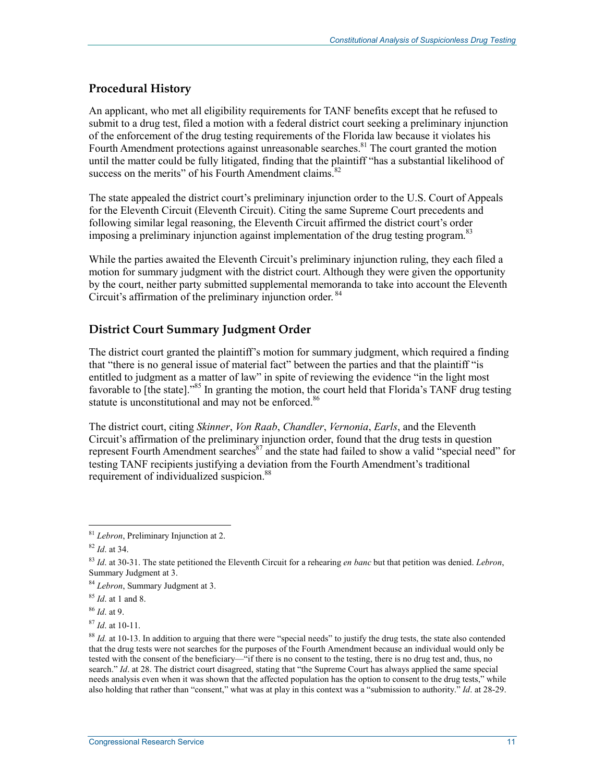#### **Procedural History**

An applicant, who met all eligibility requirements for TANF benefits except that he refused to submit to a drug test, filed a motion with a federal district court seeking a preliminary injunction of the enforcement of the drug testing requirements of the Florida law because it violates his Fourth Amendment protections against unreasonable searches.<sup>81</sup> The court granted the motion until the matter could be fully litigated, finding that the plaintiff "has a substantial likelihood of success on the merits" of his Fourth Amendment claims. $82$ 

The state appealed the district court's preliminary injunction order to the U.S. Court of Appeals for the Eleventh Circuit (Eleventh Circuit). Citing the same Supreme Court precedents and following similar legal reasoning, the Eleventh Circuit affirmed the district court's order imposing a preliminary injunction against implementation of the drug testing program.<sup>83</sup>

While the parties awaited the Eleventh Circuit's preliminary injunction ruling, they each filed a motion for summary judgment with the district court. Although they were given the opportunity by the court, neither party submitted supplemental memoranda to take into account the Eleventh Circuit's affirmation of the preliminary injunction order.<sup>84</sup>

#### **District Court Summary Judgment Order**

The district court granted the plaintiff's motion for summary judgment, which required a finding that "there is no general issue of material fact" between the parties and that the plaintiff "is entitled to judgment as a matter of law" in spite of reviewing the evidence "in the light most favorable to [the state]."<sup>85</sup> In granting the motion, the court held that Florida's TANF drug testing statute is unconstitutional and may not be enforced.<sup>86</sup>

The district court, citing *Skinner*, *Von Raab*, *Chandler*, *Vernonia*, *Earls*, and the Eleventh Circuit's affirmation of the preliminary injunction order, found that the drug tests in question represent Fourth Amendment searches $^{87}$  and the state had failed to show a valid "special need" for testing TANF recipients justifying a deviation from the Fourth Amendment's traditional requirement of individualized suspicion.<sup>88</sup>

<u>.</u>

<sup>87</sup> *Id*. at 10-11.

<sup>81</sup> *Lebron*, Preliminary Injunction at 2.

<sup>82</sup> *Id*. at 34.

<sup>83</sup> *Id*. at 30-31. The state petitioned the Eleventh Circuit for a rehearing *en banc* but that petition was denied. *Lebron*, Summary Judgment at 3.

<sup>84</sup> *Lebron*, Summary Judgment at 3.

<sup>85</sup> *Id*. at 1 and 8.

<sup>86</sup> *Id*. at 9.

<sup>&</sup>lt;sup>88</sup> *Id.* at 10-13. In addition to arguing that there were "special needs" to justify the drug tests, the state also contended that the drug tests were not searches for the purposes of the Fourth Amendment because an individual would only be tested with the consent of the beneficiary—"if there is no consent to the testing, there is no drug test and, thus, no search." *Id.* at 28. The district court disagreed, stating that "the Supreme Court has always applied the same special needs analysis even when it was shown that the affected population has the option to consent to the drug tests," while also holding that rather than "consent," what was at play in this context was a "submission to authority." *Id*. at 28-29.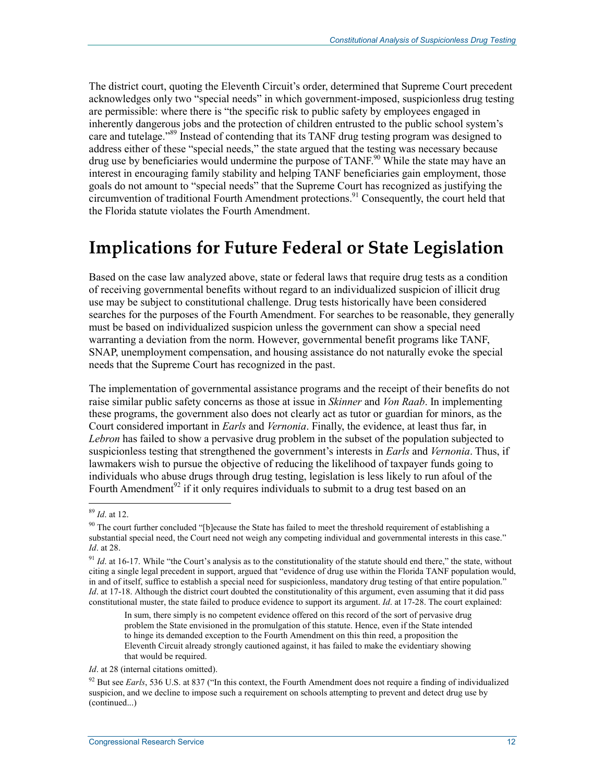The district court, quoting the Eleventh Circuit's order, determined that Supreme Court precedent acknowledges only two "special needs" in which government-imposed, suspicionless drug testing are permissible: where there is "the specific risk to public safety by employees engaged in inherently dangerous jobs and the protection of children entrusted to the public school system's care and tutelage."<sup>89</sup> Instead of contending that its TANF drug testing program was designed to address either of these "special needs," the state argued that the testing was necessary because drug use by beneficiaries would undermine the purpose of TANF.<sup>90</sup> While the state may have an interest in encouraging family stability and helping TANF beneficiaries gain employment, those goals do not amount to "special needs" that the Supreme Court has recognized as justifying the circumvention of traditional Fourth Amendment protections.<sup>91</sup> Consequently, the court held that the Florida statute violates the Fourth Amendment.

## **Implications for Future Federal or State Legislation**

Based on the case law analyzed above, state or federal laws that require drug tests as a condition of receiving governmental benefits without regard to an individualized suspicion of illicit drug use may be subject to constitutional challenge. Drug tests historically have been considered searches for the purposes of the Fourth Amendment. For searches to be reasonable, they generally must be based on individualized suspicion unless the government can show a special need warranting a deviation from the norm. However, governmental benefit programs like TANF, SNAP, unemployment compensation, and housing assistance do not naturally evoke the special needs that the Supreme Court has recognized in the past.

The implementation of governmental assistance programs and the receipt of their benefits do not raise similar public safety concerns as those at issue in *Skinner* and *Von Raab*. In implementing these programs, the government also does not clearly act as tutor or guardian for minors, as the Court considered important in *Earls* and *Vernonia*. Finally, the evidence, at least thus far, in *Lebron* has failed to show a pervasive drug problem in the subset of the population subjected to suspicionless testing that strengthened the government's interests in *Earls* and *Vernonia*. Thus, if lawmakers wish to pursue the objective of reducing the likelihood of taxpayer funds going to individuals who abuse drugs through drug testing, legislation is less likely to run afoul of the Fourth Amendment<sup>92</sup> if it only requires individuals to submit to a drug test based on an

<sup>89</sup> *Id*. at 12.

 $90$  The court further concluded "[b]ecause the State has failed to meet the threshold requirement of establishing a substantial special need, the Court need not weigh any competing individual and governmental interests in this case." *Id*. at 28.

<sup>&</sup>lt;sup>91</sup> *Id.* at 16-17. While "the Court's analysis as to the constitutionality of the statute should end there," the state, without citing a single legal precedent in support, argued that "evidence of drug use within the Florida TANF population would, in and of itself, suffice to establish a special need for suspicionless, mandatory drug testing of that entire population." *Id.* at 17-18. Although the district court doubted the constitutionality of this argument, even assuming that it did pass constitutional muster, the state failed to produce evidence to support its argument. *Id*. at 17-28. The court explained:

In sum, there simply is no competent evidence offered on this record of the sort of pervasive drug problem the State envisioned in the promulgation of this statute. Hence, even if the State intended to hinge its demanded exception to the Fourth Amendment on this thin reed, a proposition the Eleventh Circuit already strongly cautioned against, it has failed to make the evidentiary showing that would be required.

*Id.* at 28 (internal citations omitted).

 $92$  But see *Earls*, 536 U.S. at 837 ("In this context, the Fourth Amendment does not require a finding of individualized suspicion, and we decline to impose such a requirement on schools attempting to prevent and detect drug use by (continued...)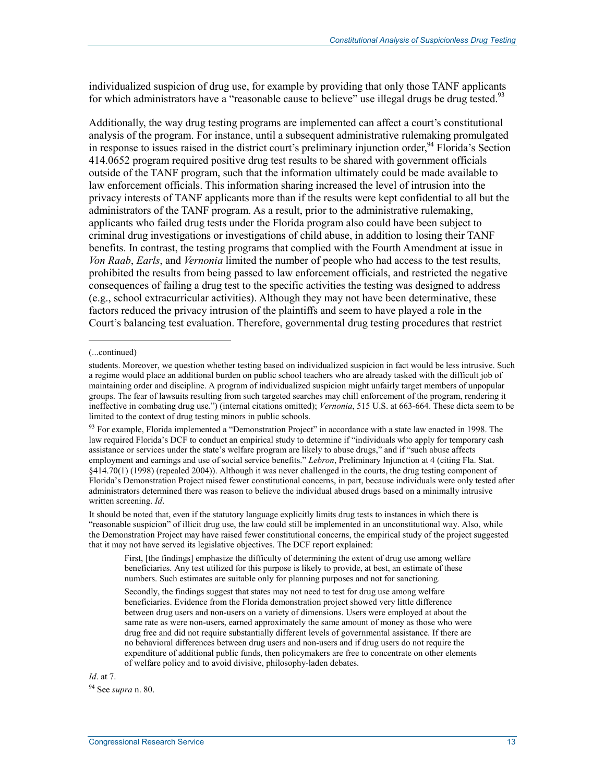individualized suspicion of drug use, for example by providing that only those TANF applicants for which administrators have a "reasonable cause to believe" use illegal drugs be drug tested.<sup>93</sup>

Additionally, the way drug testing programs are implemented can affect a court's constitutional analysis of the program. For instance, until a subsequent administrative rulemaking promulgated in response to issues raised in the district court's preliminary injunction order,  $94$  Florida's Section 414.0652 program required positive drug test results to be shared with government officials outside of the TANF program, such that the information ultimately could be made available to law enforcement officials. This information sharing increased the level of intrusion into the privacy interests of TANF applicants more than if the results were kept confidential to all but the administrators of the TANF program. As a result, prior to the administrative rulemaking, applicants who failed drug tests under the Florida program also could have been subject to criminal drug investigations or investigations of child abuse, in addition to losing their TANF benefits. In contrast, the testing programs that complied with the Fourth Amendment at issue in *Von Raab*, *Earls*, and *Vernonia* limited the number of people who had access to the test results, prohibited the results from being passed to law enforcement officials, and restricted the negative consequences of failing a drug test to the specific activities the testing was designed to address (e.g., school extracurricular activities). Although they may not have been determinative, these factors reduced the privacy intrusion of the plaintiffs and seem to have played a role in the Court's balancing test evaluation. Therefore, governmental drug testing procedures that restrict

1

93 For example, Florida implemented a "Demonstration Project" in accordance with a state law enacted in 1998. The law required Florida's DCF to conduct an empirical study to determine if "individuals who apply for temporary cash assistance or services under the state's welfare program are likely to abuse drugs," and if "such abuse affects employment and earnings and use of social service benefits." *Lebron*, Preliminary Injunction at 4 (citing Fla. Stat. §414.70(1) (1998) (repealed 2004)). Although it was never challenged in the courts, the drug testing component of Florida's Demonstration Project raised fewer constitutional concerns, in part, because individuals were only tested after administrators determined there was reason to believe the individual abused drugs based on a minimally intrusive written screening. *Id*.

It should be noted that, even if the statutory language explicitly limits drug tests to instances in which there is "reasonable suspicion" of illicit drug use, the law could still be implemented in an unconstitutional way. Also, while the Demonstration Project may have raised fewer constitutional concerns, the empirical study of the project suggested that it may not have served its legislative objectives. The DCF report explained:

Secondly, the findings suggest that states may not need to test for drug use among welfare beneficiaries. Evidence from the Florida demonstration project showed very little difference between drug users and non-users on a variety of dimensions. Users were employed at about the same rate as were non-users, earned approximately the same amount of money as those who were drug free and did not require substantially different levels of governmental assistance. If there are no behavioral differences between drug users and non-users and if drug users do not require the expenditure of additional public funds, then policymakers are free to concentrate on other elements of welfare policy and to avoid divisive, philosophy-laden debates.

*Id*. at 7.

94 See *supra* n. 80.

<sup>(...</sup>continued)

students. Moreover, we question whether testing based on individualized suspicion in fact would be less intrusive. Such a regime would place an additional burden on public school teachers who are already tasked with the difficult job of maintaining order and discipline. A program of individualized suspicion might unfairly target members of unpopular groups. The fear of lawsuits resulting from such targeted searches may chill enforcement of the program, rendering it ineffective in combating drug use.") (internal citations omitted); *Vernonia*, 515 U.S. at 663-664. These dicta seem to be limited to the context of drug testing minors in public schools.

First, [the findings] emphasize the difficulty of determining the extent of drug use among welfare beneficiaries. Any test utilized for this purpose is likely to provide, at best, an estimate of these numbers. Such estimates are suitable only for planning purposes and not for sanctioning.